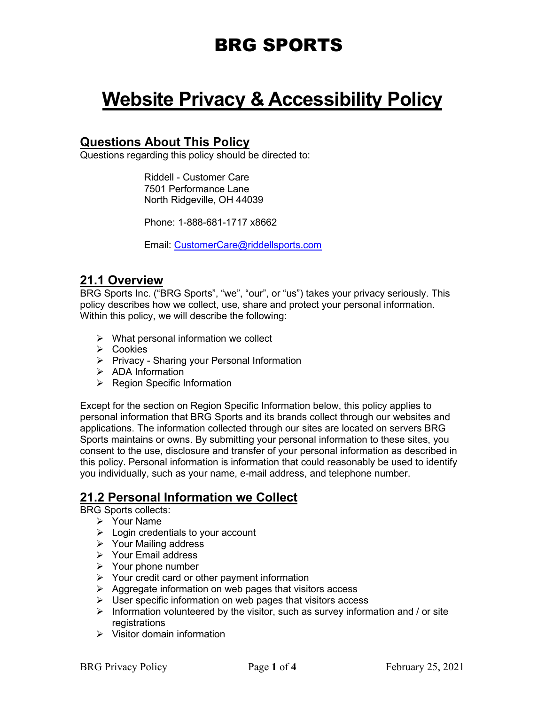# **Website Privacy & Accessibility Policy**

## **Questions About This Policy**

Questions regarding this policy should be directed to:

Riddell - Customer Care 7501 Performance Lane North Ridgeville, OH 44039

Phone: 1-888-681-1717 x8662

Email: [CustomerCare@riddellsports.com](mailto:CustomerCare@riddellsports.com) 

### **21.1 Overview**

BRG Sports Inc. ("BRG Sports", "we", "our", or "us") takes your privacy seriously. This policy describes how we collect, use, share and protect your personal information. Within this policy, we will describe the following:

- $\triangleright$  What personal information we collect
- **≻** Cookies
- $\triangleright$  Privacy Sharing your Personal Information
- $\triangleright$  ADA Information
- $\triangleright$  Region Specific Information

Except for the section on Region Specific Information below, this policy applies to personal information that BRG Sports and its brands collect through our websites and applications. The information collected through our sites are located on servers BRG Sports maintains or owns. By submitting your personal information to these sites, you consent to the use, disclosure and transfer of your personal information as described in this policy. Personal information is information that could reasonably be used to identify you individually, such as your name, e-mail address, and telephone number.

## **21.2 Personal Information we Collect**

BRG Sports collects:

- Your Name
- $\triangleright$  Login credentials to your account
- Your Mailing address
- Your Email address
- $\triangleright$  Your phone number
- $\triangleright$  Your credit card or other payment information
- $\triangleright$  Aggregate information on web pages that visitors access
- $\triangleright$  User specific information on web pages that visitors access
- $\triangleright$  Information volunteered by the visitor, such as survey information and / or site registrations
- $\triangleright$  Visitor domain information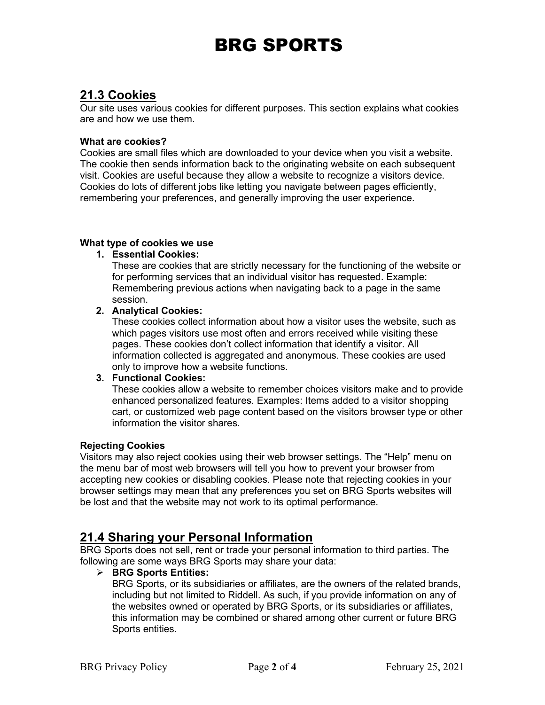## **21.3 Cookies**

Our site uses various cookies for different purposes. This section explains what cookies are and how we use them.

#### **What are cookies?**

Cookies are small files which are downloaded to your device when you visit a website. The cookie then sends information back to the originating website on each subsequent visit. Cookies are useful because they allow a website to recognize a visitors device. Cookies do lots of different jobs like letting you navigate between pages efficiently, remembering your preferences, and generally improving the user experience.

#### **What type of cookies we use**

#### **1. Essential Cookies:**

These are cookies that are strictly necessary for the functioning of the website or for performing services that an individual visitor has requested. Example: Remembering previous actions when navigating back to a page in the same session.

### **2. Analytical Cookies:**

These cookies collect information about how a visitor uses the website, such as which pages visitors use most often and errors received while visiting these pages. These cookies don't collect information that identify a visitor. All information collected is aggregated and anonymous. These cookies are used only to improve how a website functions.

#### **3. Functional Cookies:**

These cookies allow a website to remember choices visitors make and to provide enhanced personalized features. Examples: Items added to a visitor shopping cart, or customized web page content based on the visitors browser type or other information the visitor shares.

#### **Rejecting Cookies**

Visitors may also reject cookies using their web browser settings. The "Help" menu on the menu bar of most web browsers will tell you how to prevent your browser from accepting new cookies or disabling cookies. Please note that rejecting cookies in your browser settings may mean that any preferences you set on BRG Sports websites will be lost and that the website may not work to its optimal performance.

### **21.4 Sharing your Personal Information**

BRG Sports does not sell, rent or trade your personal information to third parties. The following are some ways BRG Sports may share your data:

#### **BRG Sports Entities:**

BRG Sports, or its subsidiaries or affiliates, are the owners of the related brands, including but not limited to Riddell. As such, if you provide information on any of the websites owned or operated by BRG Sports, or its subsidiaries or affiliates, this information may be combined or shared among other current or future BRG Sports entities.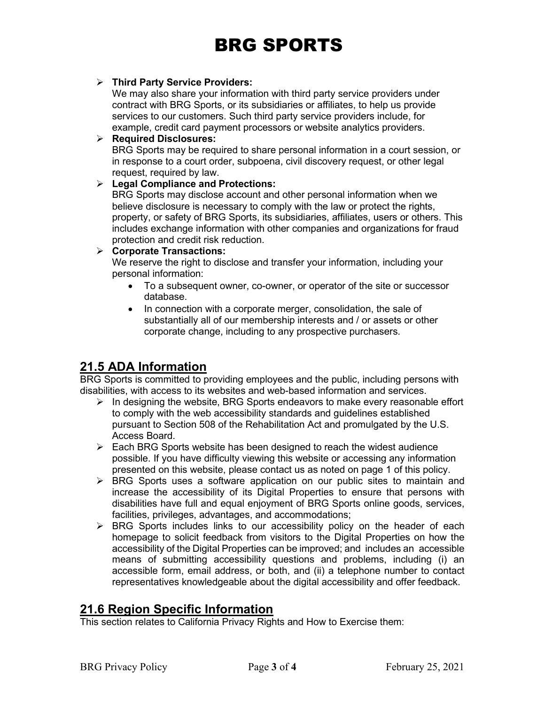#### **Third Party Service Providers:**

We may also share your information with third party service providers under contract with BRG Sports, or its subsidiaries or affiliates, to help us provide services to our customers. Such third party service providers include, for example, credit card payment processors or website analytics providers.

#### **Required Disclosures:**

BRG Sports may be required to share personal information in a court session, or in response to a court order, subpoena, civil discovery request, or other legal request, required by law.

#### **Legal Compliance and Protections:**

BRG Sports may disclose account and other personal information when we believe disclosure is necessary to comply with the law or protect the rights, property, or safety of BRG Sports, its subsidiaries, affiliates, users or others. This includes exchange information with other companies and organizations for fraud protection and credit risk reduction.

#### **Corporate Transactions:**

We reserve the right to disclose and transfer your information, including your personal information:

- To a subsequent owner, co-owner, or operator of the site or successor database.
- In connection with a corporate merger, consolidation, the sale of substantially all of our membership interests and / or assets or other corporate change, including to any prospective purchasers.

### **21.5 ADA Information**

BRG Sports is committed to providing employees and the public, including persons with disabilities, with access to its websites and web-based information and services.

- $\triangleright$  In designing the website, BRG Sports endeavors to make every reasonable effort to comply with the web accessibility standards and guidelines established pursuant to Section 508 of the Rehabilitation Act and promulgated by the U.S. Access Board.
- $\triangleright$  Each BRG Sports website has been designed to reach the widest audience possible. If you have difficulty viewing this website or accessing any information presented on this website, please contact us as noted on page 1 of this policy.
- > BRG Sports uses a software application on our public sites to maintain and increase the accessibility of its Digital Properties to ensure that persons with disabilities have full and equal enjoyment of BRG Sports online goods, services, facilities, privileges, advantages, and accommodations;
- $\triangleright$  BRG Sports includes links to our accessibility policy on the header of each homepage to solicit feedback from visitors to the Digital Properties on how the accessibility of the Digital Properties can be improved; and includes an accessible means of submitting accessibility questions and problems, including (i) an accessible form, email address, or both, and (ii) a telephone number to contact representatives knowledgeable about the digital accessibility and offer feedback.

### **21.6 Region Specific Information**

This section relates to California Privacy Rights and How to Exercise them: